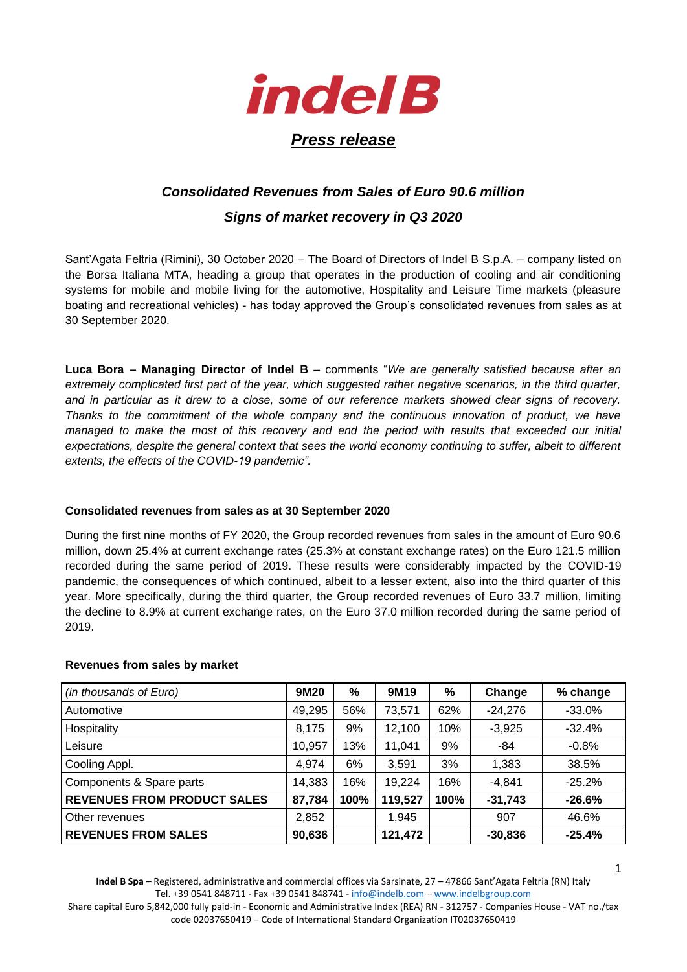

# *Consolidated Revenues from Sales of Euro 90.6 million*

## *Signs of market recovery in Q3 2020*

Sant'Agata Feltria (Rimini), 30 October 2020 – The Board of Directors of Indel B S.p.A. – company listed on the Borsa Italiana MTA, heading a group that operates in the production of cooling and air conditioning systems for mobile and mobile living for the automotive, Hospitality and Leisure Time markets (pleasure boating and recreational vehicles) - has today approved the Group's consolidated revenues from sales as at 30 September 2020.

**Luca Bora – Managing Director of Indel B** – comments "*We are generally satisfied because after an extremely complicated first part of the year, which suggested rather negative scenarios, in the third quarter, and in particular as it drew to a close, some of our reference markets showed clear signs of recovery. Thanks to the commitment of the whole company and the continuous innovation of product, we have managed to make the most of this recovery and end the period with results that exceeded our initial expectations, despite the general context that sees the world economy continuing to suffer, albeit to different extents, the effects of the COVID-19 pandemic".* 

### **Consolidated revenues from sales as at 30 September 2020**

During the first nine months of FY 2020, the Group recorded revenues from sales in the amount of Euro 90.6 million, down 25.4% at current exchange rates (25.3% at constant exchange rates) on the Euro 121.5 million recorded during the same period of 2019. These results were considerably impacted by the COVID-19 pandemic, the consequences of which continued, albeit to a lesser extent, also into the third quarter of this year. More specifically, during the third quarter, the Group recorded revenues of Euro 33.7 million, limiting the decline to 8.9% at current exchange rates, on the Euro 37.0 million recorded during the same period of 2019.

#### **Revenues from sales by market**

| (in thousands of Euro)             | 9M20   | %    | 9M19    | %    | Change    | % change |
|------------------------------------|--------|------|---------|------|-----------|----------|
| Automotive                         | 49,295 | 56%  | 73,571  | 62%  | $-24,276$ | $-33.0%$ |
| Hospitality                        | 8,175  | 9%   | 12,100  | 10%  | $-3,925$  | $-32.4%$ |
| Leisure                            | 10,957 | 13%  | 11,041  | 9%   | -84       | $-0.8%$  |
| Cooling Appl.                      | 4,974  | 6%   | 3.591   | 3%   | 1,383     | 38.5%    |
| Components & Spare parts           | 14,383 | 16%  | 19,224  | 16%  | $-4,841$  | $-25.2%$ |
| <b>REVENUES FROM PRODUCT SALES</b> | 87,784 | 100% | 119,527 | 100% | $-31,743$ | $-26.6%$ |
| Other revenues                     | 2,852  |      | 1,945   |      | 907       | 46.6%    |
| <b>REVENUES FROM SALES</b>         | 90,636 |      | 121,472 |      | $-30,836$ | $-25.4%$ |

**Indel B Spa** – Registered, administrative and commercial offices via Sarsinate, 27 – 47866 Sant'Agata Feltria (RN) Italy Tel. +39 0541 848711 - Fax +39 0541 848741 - [info@indelb.com](file:///C:/Users/DBENELI/AppData/Local/Microsoft/Windows/INetCache/Content.Outlook/I95OYFDQ/info@indelb.com) – [www.indelbgroup.com](http://www.indelbgroup.com/)

Share capital Euro 5,842,000 fully paid-in - Economic and Administrative Index (REA) RN - 312757 - Companies House - VAT no./tax code 02037650419 – Code of International Standard Organization IT02037650419

1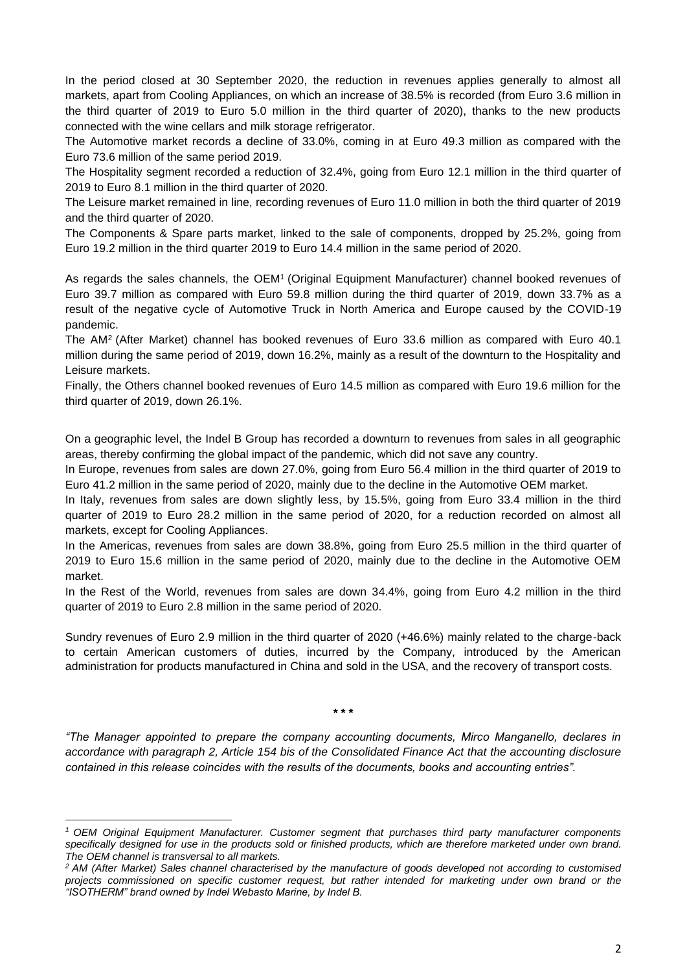In the period closed at 30 September 2020, the reduction in revenues applies generally to almost all markets, apart from Cooling Appliances, on which an increase of 38.5% is recorded (from Euro 3.6 million in the third quarter of 2019 to Euro 5.0 million in the third quarter of 2020), thanks to the new products connected with the wine cellars and milk storage refrigerator.

The Automotive market records a decline of 33.0%, coming in at Euro 49.3 million as compared with the Euro 73.6 million of the same period 2019.

The Hospitality segment recorded a reduction of 32.4%, going from Euro 12.1 million in the third quarter of 2019 to Euro 8.1 million in the third quarter of 2020.

The Leisure market remained in line, recording revenues of Euro 11.0 million in both the third quarter of 2019 and the third quarter of 2020.

The Components & Spare parts market, linked to the sale of components, dropped by 25.2%, going from Euro 19.2 million in the third quarter 2019 to Euro 14.4 million in the same period of 2020.

As regards the sales channels, the OEM<sup>1</sup> (Original Equipment Manufacturer) channel booked revenues of Euro 39.7 million as compared with Euro 59.8 million during the third quarter of 2019, down 33.7% as a result of the negative cycle of Automotive Truck in North America and Europe caused by the COVID-19 pandemic.

The AM<sup>2</sup> (After Market) channel has booked revenues of Euro 33.6 million as compared with Euro 40.1 million during the same period of 2019, down 16.2%, mainly as a result of the downturn to the Hospitality and Leisure markets.

Finally, the Others channel booked revenues of Euro 14.5 million as compared with Euro 19.6 million for the third quarter of 2019, down 26.1%.

On a geographic level, the Indel B Group has recorded a downturn to revenues from sales in all geographic areas, thereby confirming the global impact of the pandemic, which did not save any country.

In Europe, revenues from sales are down 27.0%, going from Euro 56.4 million in the third quarter of 2019 to Euro 41.2 million in the same period of 2020, mainly due to the decline in the Automotive OEM market.

In Italy, revenues from sales are down slightly less, by 15.5%, going from Euro 33.4 million in the third quarter of 2019 to Euro 28.2 million in the same period of 2020, for a reduction recorded on almost all markets, except for Cooling Appliances.

In the Americas, revenues from sales are down 38.8%, going from Euro 25.5 million in the third quarter of 2019 to Euro 15.6 million in the same period of 2020, mainly due to the decline in the Automotive OEM market.

In the Rest of the World, revenues from sales are down 34.4%, going from Euro 4.2 million in the third quarter of 2019 to Euro 2.8 million in the same period of 2020.

Sundry revenues of Euro 2.9 million in the third quarter of 2020 (+46.6%) mainly related to the charge-back to certain American customers of duties, incurred by the Company, introduced by the American administration for products manufactured in China and sold in the USA, and the recovery of transport costs.

**\* \* \***

*"The Manager appointed to prepare the company accounting documents, Mirco Manganello, declares in accordance with paragraph 2, Article 154 bis of the Consolidated Finance Act that the accounting disclosure contained in this release coincides with the results of the documents, books and accounting entries".*

*<sup>1</sup> OEM Original Equipment Manufacturer. Customer segment that purchases third party manufacturer components specifically designed for use in the products sold or finished products, which are therefore marketed under own brand. The OEM channel is transversal to all markets.* 

*<sup>2</sup> AM (After Market) Sales channel characterised by the manufacture of goods developed not according to customised projects commissioned on specific customer request, but rather intended for marketing under own brand or the "ISOTHERM" brand owned by Indel Webasto Marine, by Indel B.*